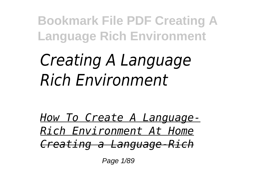## *Creating A Language Rich Environment*

*How To Create A Language-Rich Environment At Home Creating a Language-Rich*

Page 1/89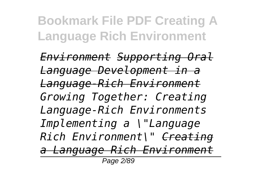*Environment Supporting Oral Language Development in a Language-Rich Environment Growing Together: Creating Language-Rich Environments Implementing a \"Language Rich Environment\" Creating a Language Rich Environment*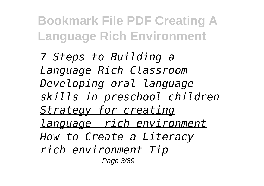*7 Steps to Building a Language Rich Classroom Developing oral language skills in preschool children Strategy for creating language- rich environment How to Create a Literacy rich environment Tip* Page 3/89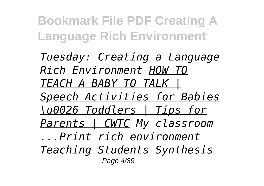*Tuesday: Creating a Language Rich Environment HOW TO TEACH A BABY TO TALK | Speech Activities for Babies \u0026 Toddlers | Tips for Parents | CWTC My classroom ...Print rich environment Teaching Students Synthesis* Page 4/89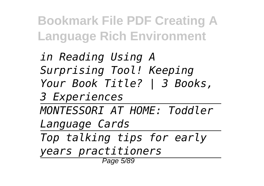*in Reading Using A Surprising Tool! Keeping Your Book Title? | 3 Books, 3 Experiences MONTESSORI AT HOME: Toddler Language Cards Top talking tips for early years practitioners* Page 5/89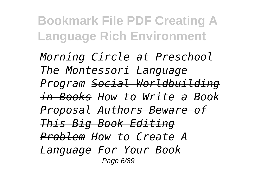*Morning Circle at Preschool The Montessori Language Program Social Worldbuilding in Books How to Write a Book Proposal Authors Beware of This Big Book Editing Problem How to Create A Language For Your Book* Page 6/89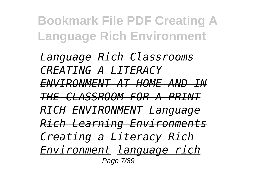*Language Rich Classrooms CREATING A LITERACY ENVIRONMENT AT HOME AND IN THE CLASSROOM FOR A PRINT RICH ENVIRONMENT Language Rich Learning Environments Creating a Literacy Rich Environment language rich* Page 7/89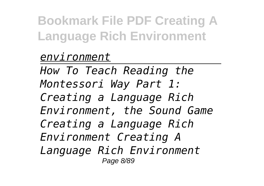## *environment*

*How To Teach Reading the Montessori Way Part 1: Creating a Language Rich Environment, the Sound Game Creating a Language Rich Environment Creating A Language Rich Environment* Page 8/89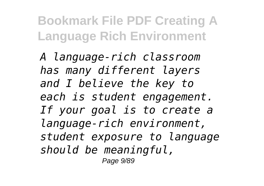*A language-rich classroom has many different layers and I believe the key to each is student engagement. If your goal is to create a language-rich environment, student exposure to language should be meaningful,* Page 9/89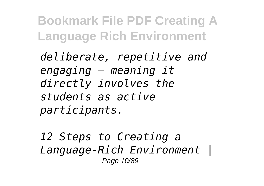*deliberate, repetitive and engaging — meaning it directly involves the students as active participants.*

*12 Steps to Creating a Language-Rich Environment |* Page 10/89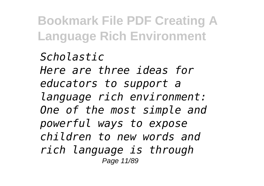*Scholastic Here are three ideas for educators to support a language rich environment: One of the most simple and powerful ways to expose children to new words and rich language is through* Page 11/89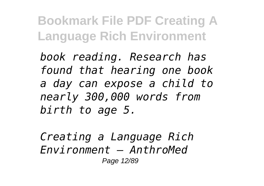*book reading. Research has found that hearing one book a day can expose a child to nearly 300,000 words from birth to age 5.*

*Creating a Language Rich Environment – AnthroMed* Page 12/89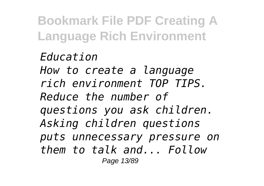*Education How to create a language rich environment TOP TIPS. Reduce the number of questions you ask children. Asking children questions puts unnecessary pressure on them to talk and... Follow* Page 13/89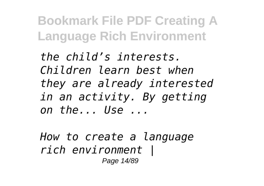*the child's interests. Children learn best when they are already interested in an activity. By getting on the... Use ...*

*How to create a language rich environment |* Page 14/89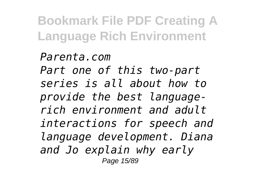*Parenta.com Part one of this two-part series is all about how to provide the best languagerich environment and adult interactions for speech and language development. Diana and Jo explain why early* Page 15/89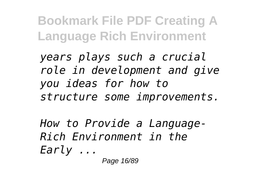*years plays such a crucial role in development and give you ideas for how to structure some improvements.*

*How to Provide a Language-Rich Environment in the Early ...*

Page 16/89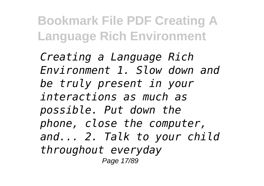*Creating a Language Rich Environment 1. Slow down and be truly present in your interactions as much as possible. Put down the phone, close the computer, and... 2. Talk to your child throughout everyday* Page 17/89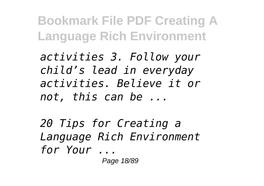*activities 3. Follow your child's lead in everyday activities. Believe it or not, this can be ...*

*20 Tips for Creating a Language Rich Environment for Your ...* Page 18/89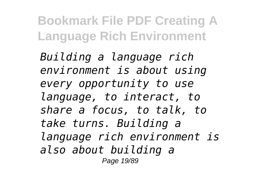*Building a language rich environment is about using every opportunity to use language, to interact, to share a focus, to talk, to take turns. Building a language rich environment is also about building a* Page 19/89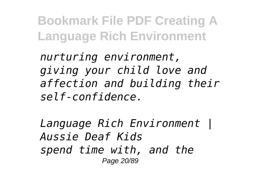*nurturing environment, giving your child love and affection and building their self-confidence.*

*Language Rich Environment | Aussie Deaf Kids spend time with, and the* Page 20/89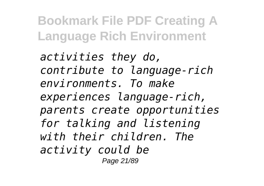*activities they do, contribute to language-rich environments. To make experiences language-rich, parents create opportunities for talking and listening with their children. The activity could be* Page 21/89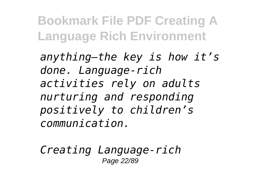*anything—the key is how it's done. Language-rich activities rely on adults nurturing and responding positively to children's communication.*

*Creating Language-rich* Page 22/89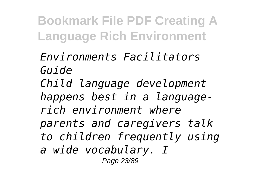*Environments Facilitators Guide Child language development happens best in a languagerich environment where parents and caregivers talk to children frequently using a wide vocabulary. I* Page 23/89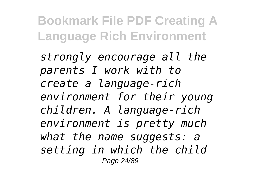*strongly encourage all the parents I work with to create a language-rich environment for their young children. A language-rich environment is pretty much what the name suggests: a setting in which the child* Page 24/89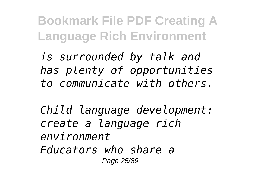*is surrounded by talk and has plenty of opportunities to communicate with others.*

*Child language development: create a language-rich environment Educators who share a* Page 25/89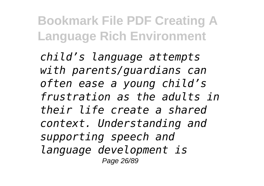*child's language attempts with parents/guardians can often ease a young child's frustration as the adults in their life create a shared context. Understanding and supporting speech and language development is* Page 26/89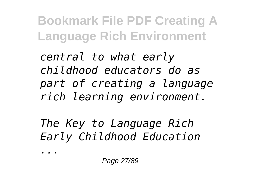*central to what early childhood educators do as part of creating a language rich learning environment.*

*The Key to Language Rich Early Childhood Education*

*...*

Page 27/89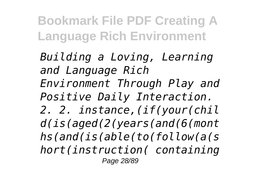*Building a Loving, Learning and Language Rich Environment Through Play and Positive Daily Interaction. 2. 2. instance,(if(your(chil d(is(aged(2(years(and(6(mont hs(and(is(able(to(follow(a(s hort(instruction( containing* Page 28/89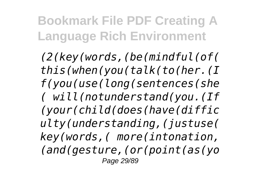*(2(key(words,(be(mindful(of( this(when(you(talk(to(her.(I f(you(use(long(sentences(she ( will(notunderstand(you.(If (your(child(does(have(diffic ulty(understanding,(justuse( key(words,( more(intonation, (and(gesture,(or(point(as(yo* Page 29/89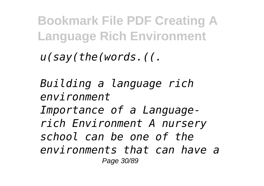*u(say(the(words.((.*

*Building a language rich environment Importance of a Languagerich Environment A nursery school can be one of the environments that can have a* Page 30/89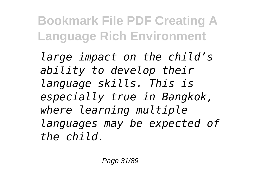*large impact on the child's ability to develop their language skills. This is especially true in Bangkok, where learning multiple languages may be expected of the child.*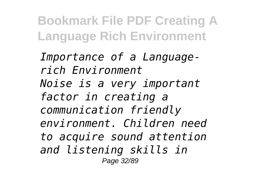*Importance of a Languagerich Environment Noise is a very important factor in creating a communication friendly environment. Children need to acquire sound attention and listening skills in* Page 32/89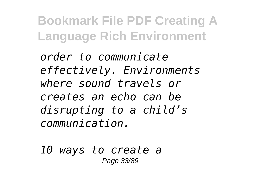*order to communicate effectively. Environments where sound travels or creates an echo can be disrupting to a child's communication.*

*10 ways to create a* Page 33/89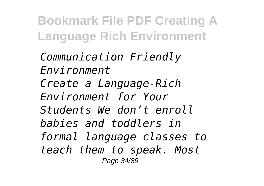*Communication Friendly Environment Create a Language-Rich Environment for Your Students We don't enroll babies and toddlers in formal language classes to teach them to speak. Most* Page 34/89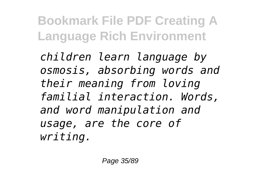*children learn language by osmosis, absorbing words and their meaning from loving familial interaction. Words, and word manipulation and usage, are the core of writing.*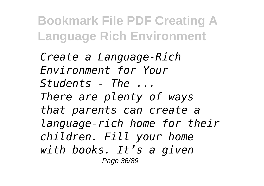*Create a Language-Rich Environment for Your Students - The ... There are plenty of ways that parents can create a language-rich home for their children. Fill your home with books. It's a given* Page 36/89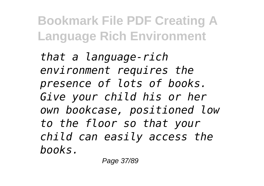*that a language-rich environment requires the presence of lots of books. Give your child his or her own bookcase, positioned low to the floor so that your child can easily access the books.*

Page 37/89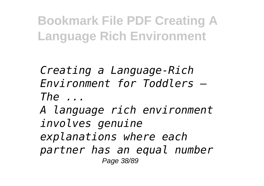*Creating a Language-Rich Environment for Toddlers – The ...*

*A language rich environment involves genuine explanations where each partner has an equal number* Page 38/89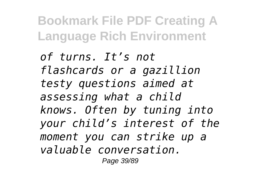*of turns. It's not flashcards or a gazillion testy questions aimed at assessing what a child knows. Often by tuning into your child's interest of the moment you can strike up a valuable conversation.* Page 39/89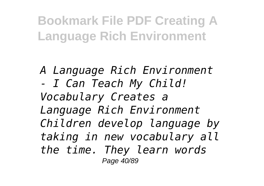*A Language Rich Environment - I Can Teach My Child! Vocabulary Creates a Language Rich Environment Children develop language by taking in new vocabulary all the time. They learn words* Page 40/89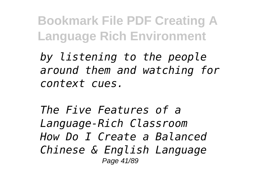*by listening to the people around them and watching for context cues.*

*The Five Features of a Language-Rich Classroom How Do I Create a Balanced Chinese & English Language* Page 41/89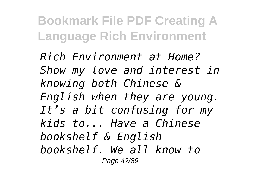*Rich Environment at Home? Show my love and interest in knowing both Chinese & English when they are young. It's a bit confusing for my kids to... Have a Chinese bookshelf & English bookshelf. We all know to* Page 42/89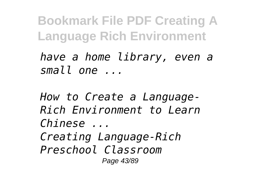*have a home library, even a small one ...*

*How to Create a Language-Rich Environment to Learn Chinese ... Creating Language-Rich Preschool Classroom* Page 43/89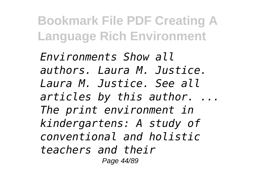*Environments Show all authors. Laura M. Justice. Laura M. Justice. See all articles by this author. ... The print environment in kindergartens: A study of conventional and holistic teachers and their* Page 44/89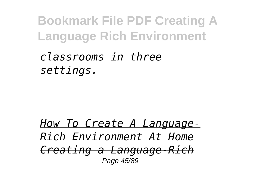*classrooms in three settings.*

*How To Create A Language-Rich Environment At Home Creating a Language-Rich* Page 45/89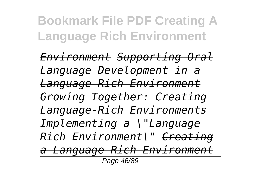*Environment Supporting Oral Language Development in a Language-Rich Environment Growing Together: Creating Language-Rich Environments Implementing a \"Language Rich Environment\" Creating a Language Rich Environment* Page 46/89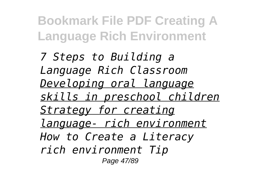*7 Steps to Building a Language Rich Classroom Developing oral language skills in preschool children Strategy for creating language- rich environment How to Create a Literacy rich environment Tip* Page 47/89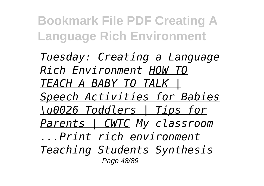*Tuesday: Creating a Language Rich Environment HOW TO TEACH A BABY TO TALK | Speech Activities for Babies \u0026 Toddlers | Tips for Parents | CWTC My classroom ...Print rich environment Teaching Students Synthesis* Page 48/89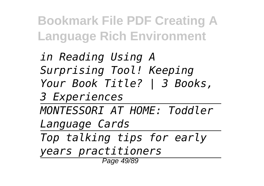*in Reading Using A Surprising Tool! Keeping Your Book Title? | 3 Books, 3 Experiences MONTESSORI AT HOME: Toddler Language Cards Top talking tips for early years practitioners* Page 49/89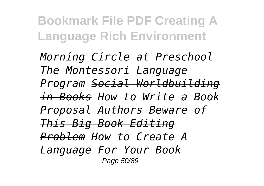*Morning Circle at Preschool The Montessori Language Program Social Worldbuilding in Books How to Write a Book Proposal Authors Beware of This Big Book Editing Problem How to Create A Language For Your Book* Page 50/89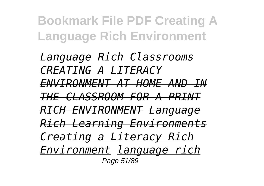*Language Rich Classrooms CREATING A LITERACY ENVIRONMENT AT HOME AND IN THE CLASSROOM FOR A PRINT RICH ENVIRONMENT Language Rich Learning Environments Creating a Literacy Rich Environment language rich* Page 51/89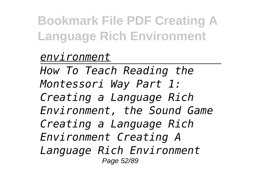## *environment*

*How To Teach Reading the Montessori Way Part 1: Creating a Language Rich Environment, the Sound Game Creating a Language Rich Environment Creating A Language Rich Environment* Page 52/89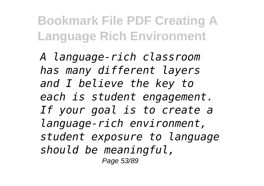*A language-rich classroom has many different layers and I believe the key to each is student engagement. If your goal is to create a language-rich environment, student exposure to language should be meaningful,* Page 53/89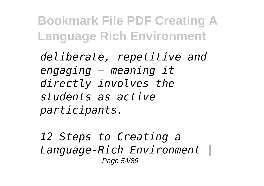*deliberate, repetitive and engaging — meaning it directly involves the students as active participants.*

*12 Steps to Creating a Language-Rich Environment |* Page 54/89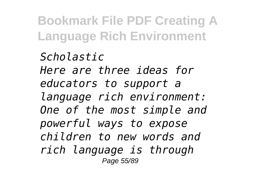*Scholastic Here are three ideas for educators to support a language rich environment: One of the most simple and powerful ways to expose children to new words and rich language is through* Page 55/89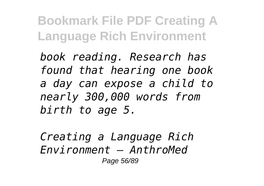*book reading. Research has found that hearing one book a day can expose a child to nearly 300,000 words from birth to age 5.*

*Creating a Language Rich Environment – AnthroMed* Page 56/89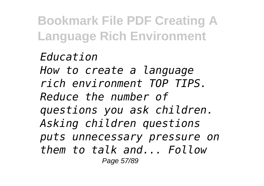*Education How to create a language rich environment TOP TIPS. Reduce the number of questions you ask children. Asking children questions puts unnecessary pressure on them to talk and... Follow* Page 57/89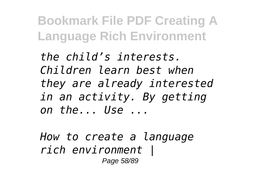*the child's interests. Children learn best when they are already interested in an activity. By getting on the... Use ...*

*How to create a language rich environment |* Page 58/89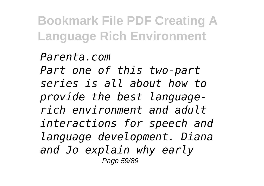*Parenta.com Part one of this two-part series is all about how to provide the best languagerich environment and adult interactions for speech and language development. Diana and Jo explain why early* Page 59/89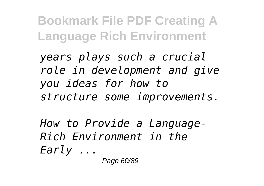*years plays such a crucial role in development and give you ideas for how to structure some improvements.*

*How to Provide a Language-Rich Environment in the Early ...*

Page 60/89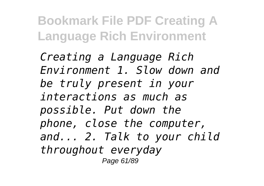*Creating a Language Rich Environment 1. Slow down and be truly present in your interactions as much as possible. Put down the phone, close the computer, and... 2. Talk to your child throughout everyday* Page 61/89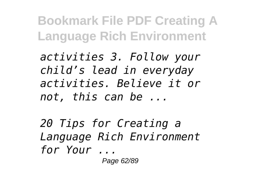*activities 3. Follow your child's lead in everyday activities. Believe it or not, this can be ...*

*20 Tips for Creating a Language Rich Environment for Your ...* Page 62/89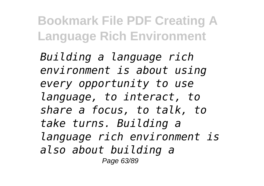*Building a language rich environment is about using every opportunity to use language, to interact, to share a focus, to talk, to take turns. Building a language rich environment is also about building a* Page 63/89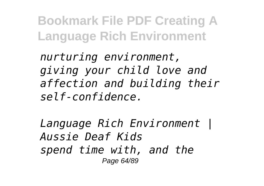*nurturing environment, giving your child love and affection and building their self-confidence.*

*Language Rich Environment | Aussie Deaf Kids spend time with, and the* Page 64/89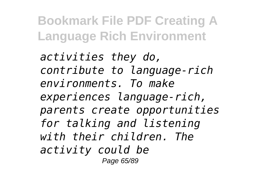*activities they do, contribute to language-rich environments. To make experiences language-rich, parents create opportunities for talking and listening with their children. The activity could be* Page 65/89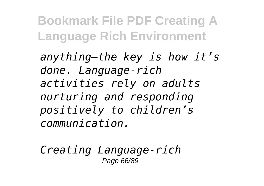*anything—the key is how it's done. Language-rich activities rely on adults nurturing and responding positively to children's communication.*

*Creating Language-rich* Page 66/89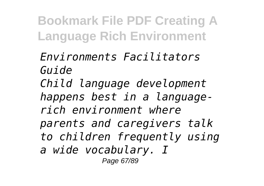*Environments Facilitators Guide Child language development happens best in a languagerich environment where parents and caregivers talk to children frequently using a wide vocabulary. I* Page 67/89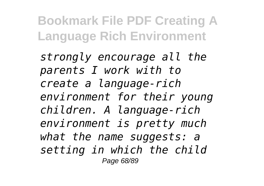*strongly encourage all the parents I work with to create a language-rich environment for their young children. A language-rich environment is pretty much what the name suggests: a setting in which the child* Page 68/89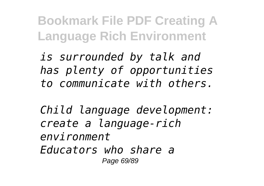*is surrounded by talk and has plenty of opportunities to communicate with others.*

*Child language development: create a language-rich environment Educators who share a* Page 69/89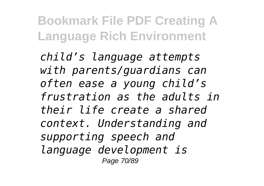*child's language attempts with parents/guardians can often ease a young child's frustration as the adults in their life create a shared context. Understanding and supporting speech and language development is* Page 70/89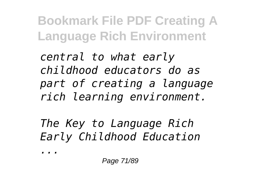*central to what early childhood educators do as part of creating a language rich learning environment.*

*The Key to Language Rich Early Childhood Education*

*...*

Page 71/89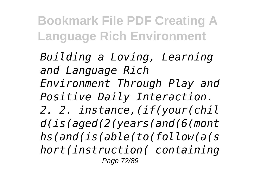*Building a Loving, Learning and Language Rich Environment Through Play and Positive Daily Interaction. 2. 2. instance,(if(your(chil d(is(aged(2(years(and(6(mont hs(and(is(able(to(follow(a(s hort(instruction( containing* Page 72/89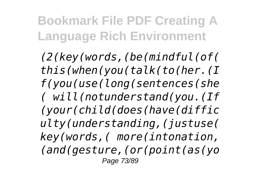*(2(key(words,(be(mindful(of( this(when(you(talk(to(her.(I f(you(use(long(sentences(she ( will(notunderstand(you.(If (your(child(does(have(diffic ulty(understanding,(justuse( key(words,( more(intonation, (and(gesture,(or(point(as(yo* Page 73/89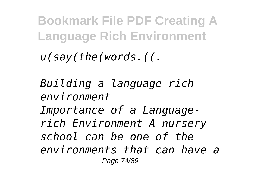*u(say(the(words.((.*

*Building a language rich environment Importance of a Languagerich Environment A nursery school can be one of the environments that can have a* Page 74/89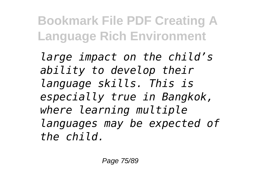*large impact on the child's ability to develop their language skills. This is especially true in Bangkok, where learning multiple languages may be expected of the child.*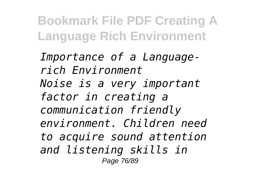*Importance of a Languagerich Environment Noise is a very important factor in creating a communication friendly environment. Children need to acquire sound attention and listening skills in* Page 76/89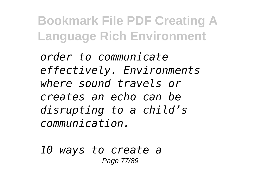*order to communicate effectively. Environments where sound travels or creates an echo can be disrupting to a child's communication.*

*10 ways to create a* Page 77/89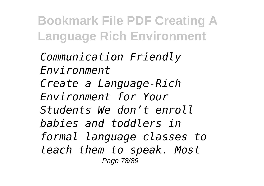*Communication Friendly Environment Create a Language-Rich Environment for Your Students We don't enroll babies and toddlers in formal language classes to teach them to speak. Most* Page 78/89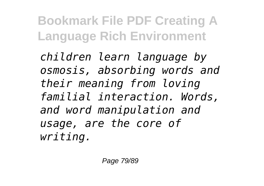*children learn language by osmosis, absorbing words and their meaning from loving familial interaction. Words, and word manipulation and usage, are the core of writing.*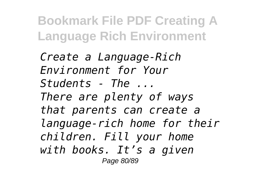*Create a Language-Rich Environment for Your Students - The ... There are plenty of ways that parents can create a language-rich home for their children. Fill your home with books. It's a given* Page 80/89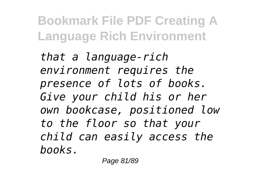*that a language-rich environment requires the presence of lots of books. Give your child his or her own bookcase, positioned low to the floor so that your child can easily access the books.*

Page 81/89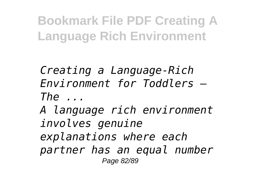*Creating a Language-Rich Environment for Toddlers – The ...*

*A language rich environment involves genuine explanations where each partner has an equal number* Page 82/89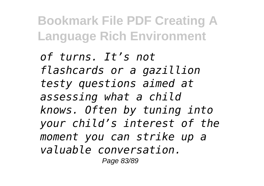*of turns. It's not flashcards or a gazillion testy questions aimed at assessing what a child knows. Often by tuning into your child's interest of the moment you can strike up a valuable conversation.* Page 83/89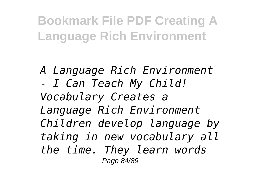*A Language Rich Environment - I Can Teach My Child! Vocabulary Creates a Language Rich Environment Children develop language by taking in new vocabulary all the time. They learn words* Page 84/89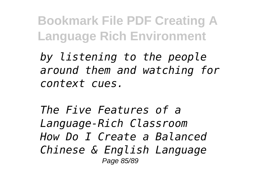*by listening to the people around them and watching for context cues.*

*The Five Features of a Language-Rich Classroom How Do I Create a Balanced Chinese & English Language* Page 85/89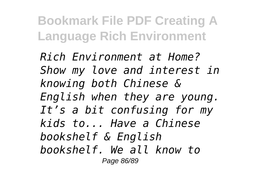*Rich Environment at Home? Show my love and interest in knowing both Chinese & English when they are young. It's a bit confusing for my kids to... Have a Chinese bookshelf & English bookshelf. We all know to* Page 86/89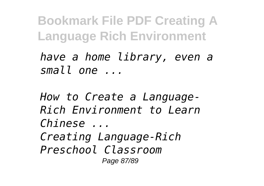*have a home library, even a small one ...*

*How to Create a Language-Rich Environment to Learn Chinese ... Creating Language-Rich Preschool Classroom* Page 87/89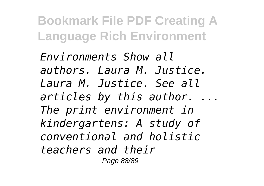*Environments Show all authors. Laura M. Justice. Laura M. Justice. See all articles by this author. ... The print environment in kindergartens: A study of conventional and holistic teachers and their* Page 88/89